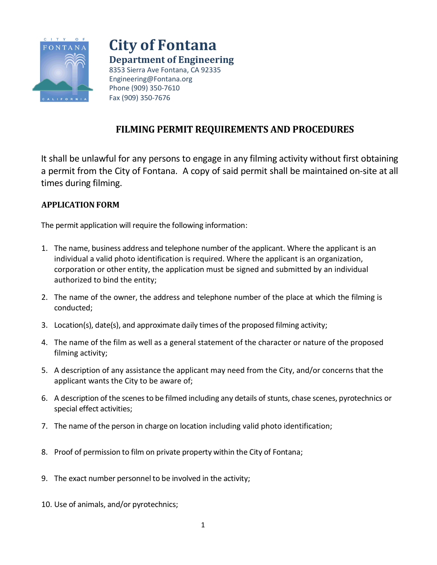

## **City of Fontana Department of Engineering**

8353 Sierra Ave Fontana, CA 92335 [Engineering@Fontana.org](mailto:Engineering@Fontana.org) Phone (909) 350-7610 Fax (909) 350-7676

## **FILMING PERMIT REQUIREMENTS AND PROCEDURES**

It shall be unlawful for any persons to engage in any filming activity without first obtaining a permit from the City of Fontana. A copy of said permit shall be maintained on-site at all times during filming.

#### **APPLICATION FORM**

The permit application will require the following information:

- 1. The name, business address and telephone number of the applicant. Where the applicant is an individual a valid photo identification is required. Where the applicant is an organization, corporation or other entity, the application must be signed and submitted by an individual authorized to bind the entity;
- 2. The name of the owner, the address and telephone number of the place at which the filming is conducted;
- 3. Location(s), date(s), and approximate daily times of the proposed filming activity;
- 4. The name of the film as well as a general statement of the character or nature of the proposed filming activity;
- 5. A description of any assistance the applicant may need from the City, and/or concerns that the applicant wants the City to be aware of;
- 6. A description of the scenes to be filmed including any details of stunts, chase scenes, pyrotechnics or special effect activities;
- 7. The name of the person in charge on location including valid photo identification;
- 8. Proof of permission to film on private property within the City of Fontana;
- 9. The exact number personnel to be involved in the activity;
- 10. Use of animals, and/or pyrotechnics;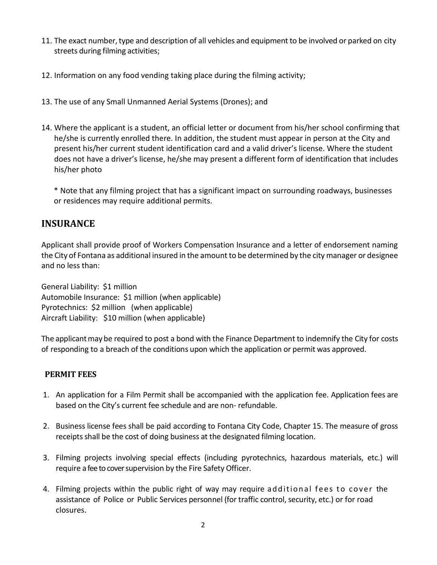- 11. The exact number, type and description of all vehicles and equipment to be involved or parked on city streets during filming activities;
- 12. Information on any food vending taking place during the filming activity;
- 13. The use of any Small Unmanned Aerial Systems (Drones); and
- 14. Where the applicant is a student, an official letter or document from his/her school confirming that he/she is currently enrolled there. In addition, the student must appear in person at the City and present his/her current student identification card and a valid driver's license. Where the student does not have a driver's license, he/she may present a different form of identification that includes his/her photo

\* Note that any filming project that has a significant impact on surrounding roadways, businesses or residences may require additional permits.

### **INSURANCE**

Applicant shall provide proof of Workers Compensation Insurance and a letter of endorsement naming the City of Fontana as additional insured in the amount to be determined by the city manager or designee and no less than:

General Liability: \$1 million Automobile Insurance: \$1 million (when applicable) Pyrotechnics: \$2 million (when applicable) Aircraft Liability: \$10 million (when applicable)

The applicant may be required to post a bond with the Finance Department to indemnify the City for costs of responding to a breach of the conditions upon which the application or permit was approved.

#### **PERMIT FEES**

- 1. An application for a Film Permit shall be accompanied with the application fee. Application fees are based on the City's current fee schedule and are non- refundable.
- 2. Business license fees shall be paid according to Fontana City Code, Chapter 15. The measure of gross receipts shall be the cost of doing business at the designated filming location.
- 3. Filming projects involving special effects (including pyrotechnics, hazardous materials, etc.) will require a fee to cover supervision by the Fire Safety Officer.
- 4. Filming projects within the public right of way may require additional fees to cover the assistance of Police or Public Services personnel (for traffic control, security, etc.) or for road closures.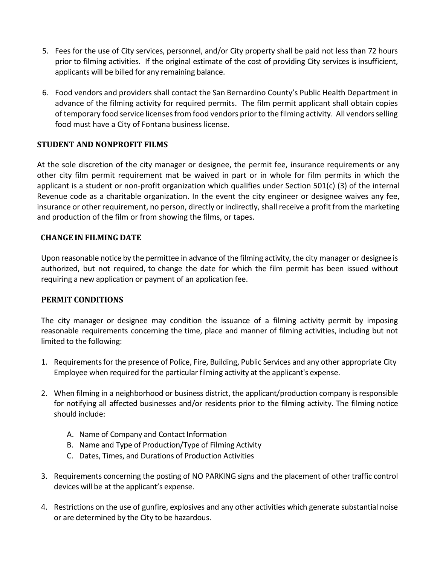- 5. Fees for the use of City services, personnel, and/or City property shall be paid not less than 72 hours prior to filming activities. If the original estimate of the cost of providing City services is insufficient, applicants will be billed for any remaining balance.
- 6. Food vendors and providers shall contact the San Bernardino County's Public Health Department in advance of the filming activity for required permits. The film permit applicant shall obtain copies of temporary food service licenses from food vendors prior to the filming activity. All vendors selling food must have a City of Fontana business license.

#### **STUDENT AND NONPROFIT FILMS**

At the sole discretion of the city manager or designee, the permit fee, insurance requirements or any other city film permit requirement mat be waived in part or in whole for film permits in which the applicant is a student or non-profit organization which qualifies under Section 501(c) (3) of the internal Revenue code as a charitable organization. In the event the city engineer or designee waives any fee, insurance or other requirement, no person, directly or indirectly, shall receive a profit from the marketing and production of the film or from showing the films, or tapes.

#### **CHANGE IN FILMING DATE**

Upon reasonable notice by the permittee in advance of the filming activity, the city manager or designee is authorized, but not required, to change the date for which the film permit has been issued without requiring a new application or payment of an application fee.

#### **PERMIT CONDITIONS**

The city manager or designee may condition the issuance of a filming activity permit by imposing reasonable requirements concerning the time, place and manner of filming activities, including but not limited to the following:

- 1. Requirementsfor the presence of Police, Fire, Building, Public Services and any other appropriate City Employee when required for the particular filming activity at the applicant's expense.
- 2. When filming in a neighborhood or business district, the applicant/production company is responsible for notifying all affected businesses and/or residents prior to the filming activity. The filming notice should include:
	- A. Name of Company and Contact Information
	- B. Name and Type of Production/Type of Filming Activity
	- C. Dates, Times, and Durations of Production Activities
- 3. Requirements concerning the posting of NO PARKING signs and the placement of other traffic control devices will be at the applicant's expense.
- 4. Restrictions on the use of gunfire, explosives and any other activities which generate substantial noise or are determined by the City to be hazardous.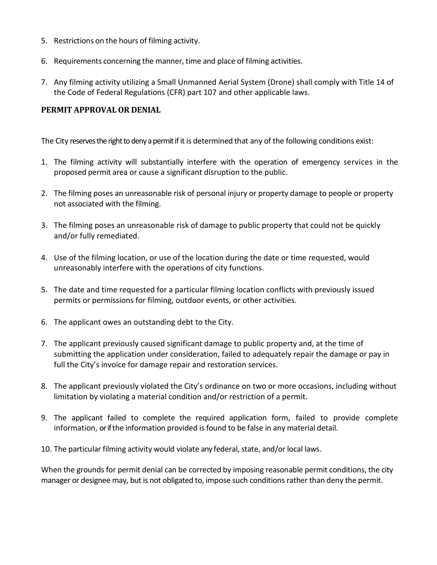- 5. Restrictions on the hours of filming activity.
- 6. Requirements concerning the manner, time and place of filming activities.
- 7. Any filming activity utilizing a Small Unmanned Aerial System (Drone) shall comply with Title 14 of the Code of Federal Regulations (CFR) part 107 and other applicable laws.

#### **PERMIT APPROVALOR DENIAL**

The City reserves the right to deny a permit if it is determined that any of the following conditions exist:

- 1. The filming activity will substantially interfere with the operation of emergency services in the proposed permit area or cause a significant disruption to the public.
- 2. The filming poses an unreasonable risk of personal injury or property damage to people or property not associated with the filming.
- 3. The filming poses an unreasonable risk of damage to public property that could not be quickly and/or fully remediated.
- 4. Use of the filming location, or use of the location during the date or time requested, would unreasonably interfere with the operations of city functions.
- 5. The date and time requested for a particular filming location conflicts with previously issued permits or permissions for filming, outdoor events, or other activities.
- 6. The applicant owes an outstanding debt to the City.
- 7. The applicant previously caused significant damage to public property and, at the time of submitting the application under consideration, failed to adequately repair the damage or pay in full the City's invoice for damage repair and restoration services.
- 8. The applicant previously violated the City's ordinance on two or more occasions, including without limitation by violating a material condition and/or restriction of a permit.
- 9. The applicant failed to complete the required application form, failed to provide complete information, or if the information provided is found to be false in any material detail.
- 10. The particular filming activity would violate any federal, state, and/or local laws.

When the grounds for permit denial can be corrected by imposing reasonable permit conditions, the city manager or designee may, but is not obligated to, impose such conditionsrather than deny the permit.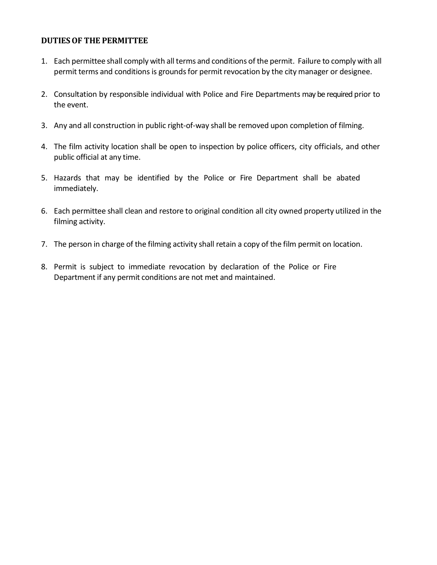#### **DUTIESOF THE PERMITTEE**

- 1. Each permittee shall comply with all terms and conditions of the permit. Failure to comply with all permit terms and conditions is grounds for permit revocation by the city manager or designee.
- 2. Consultation by responsible individual with Police and Fire Departments may be required prior to the event.
- 3. Any and all construction in public right-of-way shall be removed upon completion of filming.
- 4. The film activity location shall be open to inspection by police officers, city officials, and other public official at any time.
- 5. Hazards that may be identified by the Police or Fire Department shall be abated immediately.
- 6. Each permittee shall clean and restore to original condition all city owned property utilized in the filming activity.
- 7. The person in charge of the filming activity shall retain a copy of the film permit on location.
- 8. Permit is subject to immediate revocation by declaration of the Police or Fire Department if any permit conditions are not met and maintained.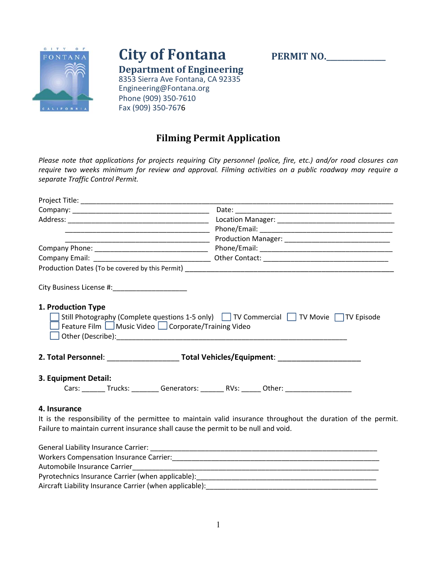

# **City of Fontana PERMIT NO.\_\_\_\_\_\_\_\_\_\_\_\_\_\_\_\_**

Phone (909) 350‐7610 Fax (909) 350‐7676

**Department of Engineering** 8353 Sierra Ave Fontana, CA 92335 Engineering@Fontana.org

**Filming Permit Application**

*Please note that applications for projects requiring City personnel (police, fire, etc.) and/or road closures can require two weeks minimum for review and approval. Filming activities on a public roadway may require a separate Traffic Control Permit.* 

| 1. Production Type<br>$\Box$ Feature Film $\Box$ Music Video $\Box$ Corporate/Training Video | Still Photography (Complete questions 1-5 only) $\Box$ TV Commercial $\Box$ TV Movie $\Box$ TV Episode       |
|----------------------------------------------------------------------------------------------|--------------------------------------------------------------------------------------------------------------|
|                                                                                              | 2. Total Personnel: _________________________ Total Vehicles/Equipment: ________________                     |
| 3. Equipment Detail:                                                                         |                                                                                                              |
|                                                                                              | Cars: ________Trucks: __________Generators: __________RVs: _______ Other: _________________________          |
| 4. Insurance                                                                                 |                                                                                                              |
|                                                                                              | It is the responsibility of the permittee to maintain valid insurance throughout the duration of the permit. |
| Failure to maintain current insurance shall cause the permit to be null and void.            |                                                                                                              |
|                                                                                              |                                                                                                              |
|                                                                                              |                                                                                                              |
|                                                                                              |                                                                                                              |
|                                                                                              |                                                                                                              |

Aircraft Liability Insurance Carrier (when applicable): \_\_\_\_\_\_\_\_\_\_\_\_\_\_\_\_\_\_\_\_\_\_\_\_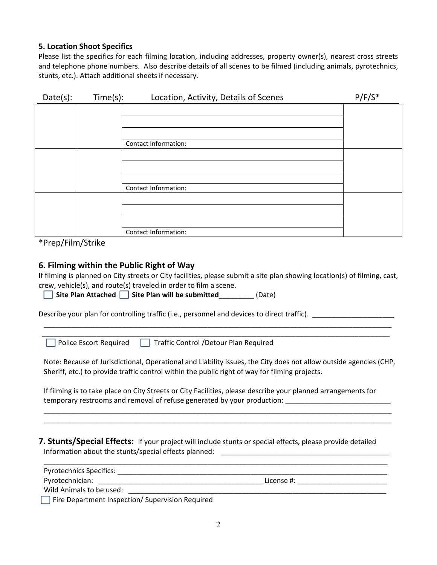#### **5. Location Shoot Specifics**

Please list the specifics for each filming location, including addresses, property owner(s), nearest cross streets and telephone phone numbers. Also describe details of all scenes to be filmed (including animals, pyrotechnics, stunts, etc.). Attach additional sheets if necessary.

| Date(s): | Time(s):<br>Location, Activity, Details of Scenes |  |
|----------|---------------------------------------------------|--|
|          |                                                   |  |
|          |                                                   |  |
|          |                                                   |  |
|          | Contact Information:                              |  |
|          |                                                   |  |
|          |                                                   |  |
|          |                                                   |  |
|          | Contact Information:                              |  |
|          |                                                   |  |
|          |                                                   |  |
|          |                                                   |  |
|          | Contact Information:                              |  |

\*Prep/Film/Strike

#### **6. Filming within the Public Right of Way**

If filming is planned on City streets or City facilities, please submit a site plan showing location(s) of filming, cast, crew, vehicle(s), and route(s) traveled in order to film a scene.

 \_\_\_\_\_\_\_\_\_\_\_\_\_\_\_\_\_\_\_\_\_\_\_\_\_\_\_\_\_\_\_\_\_\_\_\_\_\_\_\_\_\_\_\_\_\_\_\_\_\_\_\_\_\_\_\_\_\_\_\_\_\_\_\_\_\_\_\_\_\_\_\_\_\_\_\_\_\_\_\_\_\_\_\_\_\_\_\_\_ \_\_\_\_\_\_\_\_\_\_\_\_\_\_\_\_\_\_\_\_\_\_\_\_\_\_\_\_\_\_\_\_\_\_\_\_\_\_\_\_\_\_\_\_\_\_\_\_\_\_\_\_\_\_\_\_\_\_\_\_\_\_\_\_\_\_\_\_\_\_\_\_\_\_\_\_\_\_\_\_\_\_\_\_\_\_\_\_\_

 **Site Plan Attached Site Plan will be submitted\_\_\_\_\_\_\_\_\_** (Date)

Describe your plan for controlling traffic (i.e., personnel and devices to direct traffic).

Police Escort Required Traffic Control /Detour Plan Required

 Note: Because of Jurisdictional, Operational and Liability issues, the City does not allow outside agencies (CHP, Sheriff, etc.) to provide traffic control within the public right of way for filming projects.

 If filming is to take place on City Streets or City Facilities, please describe your planned arrangements for temporary restrooms and removal of refuse generated by your production:

 \_\_\_\_\_\_\_\_\_\_\_\_\_\_\_\_\_\_\_\_\_\_\_\_\_\_\_\_\_\_\_\_\_\_\_\_\_\_\_\_\_\_\_\_\_\_\_\_\_\_\_\_\_\_\_\_\_\_\_\_\_\_\_\_\_\_\_\_\_\_\_\_\_\_\_\_\_\_\_\_\_\_\_\_\_\_\_\_\_ \_\_\_\_\_\_\_\_\_\_\_\_\_\_\_\_\_\_\_\_\_\_\_\_\_\_\_\_\_\_\_\_\_\_\_\_\_\_\_\_\_\_\_\_\_\_\_\_\_\_\_\_\_\_\_\_\_\_\_\_\_\_\_\_\_\_\_\_\_\_\_\_\_\_\_\_\_\_\_\_\_\_\_\_\_\_\_\_\_

**7. Stunts/Special Effects:** If your project will include stunts or special effects, please provide detailed Information about the stunts/special effects planned: \_\_\_\_\_\_\_\_\_\_\_\_\_\_\_\_\_\_\_\_\_\_\_\_\_\_\_\_\_\_\_\_\_\_\_\_\_\_\_\_\_\_\_

| Pyrotechnics Specifics:                         |            |  |
|-------------------------------------------------|------------|--|
| Pyrotechnician:                                 | License #: |  |
| Wild Animals to be used:                        |            |  |
| Fire Department Inspection/Supervision Required |            |  |

\_\_\_\_\_\_\_\_\_\_\_\_\_\_\_\_\_\_\_\_\_\_\_\_\_\_\_\_\_\_\_\_\_\_\_\_\_\_\_\_\_\_\_\_\_\_\_\_\_\_\_\_\_\_\_\_\_\_\_\_\_\_\_\_\_\_\_\_\_\_\_\_\_\_\_\_\_\_\_\_\_\_\_\_\_\_\_\_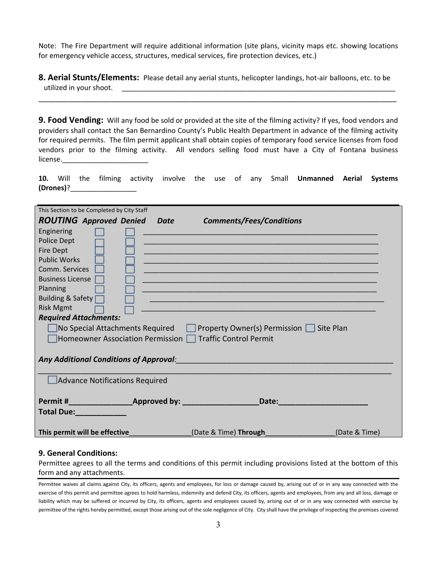Note: The Fire Department will require additional information (site plans, vicinity maps etc. showing locations for emergency vehicle access, structures, medical services, fire protection devices, etc.)

**8. Aerial Stunts/Elements:** Please detail any aerial stunts, helicopter landings, hot‐air balloons, etc. to be utilized in your shoot.

\_\_\_\_\_\_\_\_\_\_\_\_\_\_\_\_\_\_\_\_\_\_\_\_\_\_\_\_\_\_\_\_\_\_\_\_\_\_\_\_\_\_\_\_\_\_\_\_\_\_\_\_\_\_\_\_\_\_\_\_\_\_\_\_\_\_\_\_\_\_\_\_\_\_\_\_\_\_\_\_\_\_\_\_

**9. Food Vending:** Will any food be sold or provided at the site of the filming activity? If yes, food vendors and providers shall contact the San Bernardino County's Public Health Department in advance of the filming activity for required permits. The film permit applicant shall obtain copies of temporary food service licenses from food vendors prior to the filming activity. All vendors selling food must have a City of Fontana business license.

**10.** Will the filming activity involve the use of any Small **Unmanned Aerial Systems (Drones)**?\_\_\_\_\_\_\_\_\_\_\_\_\_\_\_\_\_

| This Section to be Completed by City Staff                                          |  |                  |                                                                                                                       |               |  |  |
|-------------------------------------------------------------------------------------|--|------------------|-----------------------------------------------------------------------------------------------------------------------|---------------|--|--|
| <b>ROUTING Approved Denied</b>                                                      |  | <b>Date Date</b> | <b>Comments/Fees/Conditions</b>                                                                                       |               |  |  |
| Enginering                                                                          |  |                  |                                                                                                                       |               |  |  |
| Police Dept                                                                         |  |                  |                                                                                                                       |               |  |  |
| <b>Fire Dept</b>                                                                    |  |                  |                                                                                                                       |               |  |  |
| <b>Public Works</b>                                                                 |  |                  |                                                                                                                       |               |  |  |
| Comm. Services                                                                      |  |                  | <u> 1989 - Jan Samuel Barbara, margaret e popular e popular e popular e popular e popular e popular e popular e p</u> |               |  |  |
| <b>Business License</b>                                                             |  |                  |                                                                                                                       |               |  |  |
| Planning                                                                            |  |                  |                                                                                                                       |               |  |  |
| Building & Safety                                                                   |  |                  |                                                                                                                       |               |  |  |
| <b>Risk Mgmt</b>                                                                    |  |                  |                                                                                                                       |               |  |  |
| <b>Required Attachments:</b>                                                        |  |                  |                                                                                                                       |               |  |  |
| No Special Attachments Required                                                     |  |                  | Property Owner(s) Permission Site Plan                                                                                |               |  |  |
| Homeowner Association Permission   Traffic Control Permit                           |  |                  |                                                                                                                       |               |  |  |
|                                                                                     |  |                  |                                                                                                                       |               |  |  |
| Any Additional Conditions of Approval: New York Conditional Conditions of Approval: |  |                  |                                                                                                                       |               |  |  |
|                                                                                     |  |                  |                                                                                                                       |               |  |  |
| <b>Advance Notifications Required</b>                                               |  |                  |                                                                                                                       |               |  |  |
|                                                                                     |  |                  |                                                                                                                       |               |  |  |
|                                                                                     |  |                  | Date:                                                                                                                 |               |  |  |
| Total Due: 1994                                                                     |  |                  |                                                                                                                       |               |  |  |
|                                                                                     |  |                  |                                                                                                                       |               |  |  |
| This permit will be effective                                                       |  |                  | (Date & Time) Through                                                                                                 | (Date & Time) |  |  |

#### **9. General Conditions:**

Permittee agrees to all the terms and conditions of this permit including provisions listed at the bottom of this form and any attachments.

Permittee waives all claims against City, its officers, agents and employees, for loss or damage caused by, arising out of or in any way connected with the exercise of this permit and permittee agrees to hold harmless, indemnity and defend City, its officers, agents and employees, from any and all loss, damage or liability which may be suffered or incurred by City, its officers, agents and employees caused by, arising out of or in any way connected with exercise by permittee of the rights hereby permitted, except those arising out of the sole negligence of City. City shall have the privilege of inspecting the premises covered